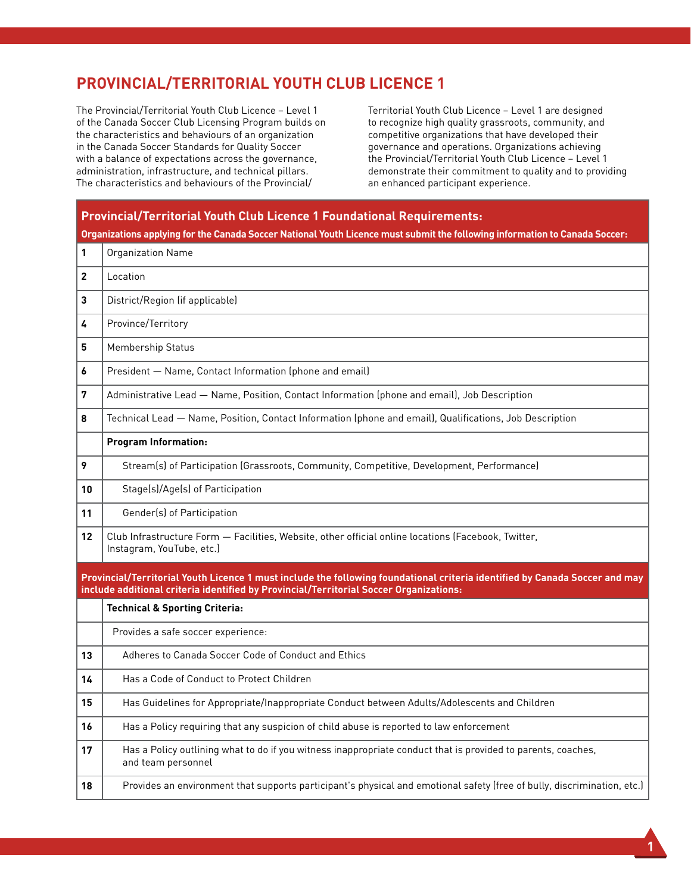## **PROVINCIAL/TERRITORIAL YOUTH CLUB LICENCE 1**

The Provincial/Territorial Youth Club Licence – Level 1 of the Canada Soccer Club Licensing Program builds on the characteristics and behaviours of an organization in the Canada Soccer Standards for Quality Soccer with a balance of expectations across the governance, administration, infrastructure, and technical pillars. The characteristics and behaviours of the Provincial/

Territorial Youth Club Licence – Level 1 are designed to recognize high quality grassroots, community, and competitive organizations that have developed their governance and operations. Organizations achieving the Provincial/Territorial Youth Club Licence – Level 1 demonstrate their commitment to quality and to providing an enhanced participant experience.

## **Provincial/Territorial Youth Club Licence 1 Foundational Requirements: Organizations applying for the Canada Soccer National Youth Licence must submit the following information to Canada Soccer: 1** Organization Name **2** Location **3** District/Region (if applicable) 4 Province/Territory **5** | Membership Status **6** President — Name, Contact Information (phone and email) **7** Administrative Lead — Name, Position, Contact Information (phone and email), Job Description **8** Technical Lead — Name, Position, Contact Information (phone and email), Qualifications, Job Description **Program Information: 9** Stream(s) of Participation (Grassroots, Community, Competitive, Development, Performance) 10 | Stage(s)/Age(s) of Participation 11 | Gender(s) of Participation **12** Club Infrastructure Form — Facilities, Website, other official online locations (Facebook, Twitter, Instagram, YouTube, etc.) **Provincial/Territorial Youth Licence 1 must include the following foundational criteria identified by Canada Soccer and may include additional criteria identified by Provincial/Territorial Soccer Organizations: Technical & Sporting Criteria:** Provides a safe soccer experience: **13** Adheres to Canada Soccer Code of Conduct and Ethics 14 | Has a Code of Conduct to Protect Children **15** Has Guidelines for Appropriate/Inappropriate Conduct between Adults/Adolescents and Children **16 Has a Policy requiring that any suspicion of child abuse is reported to law enforcement 17** Has a Policy outlining what to do if you witness inappropriate conduct that is provided to parents, coaches, and team personnel **18** Provides an environment that supports participant's physical and emotional safety (free of bully, discrimination, etc.)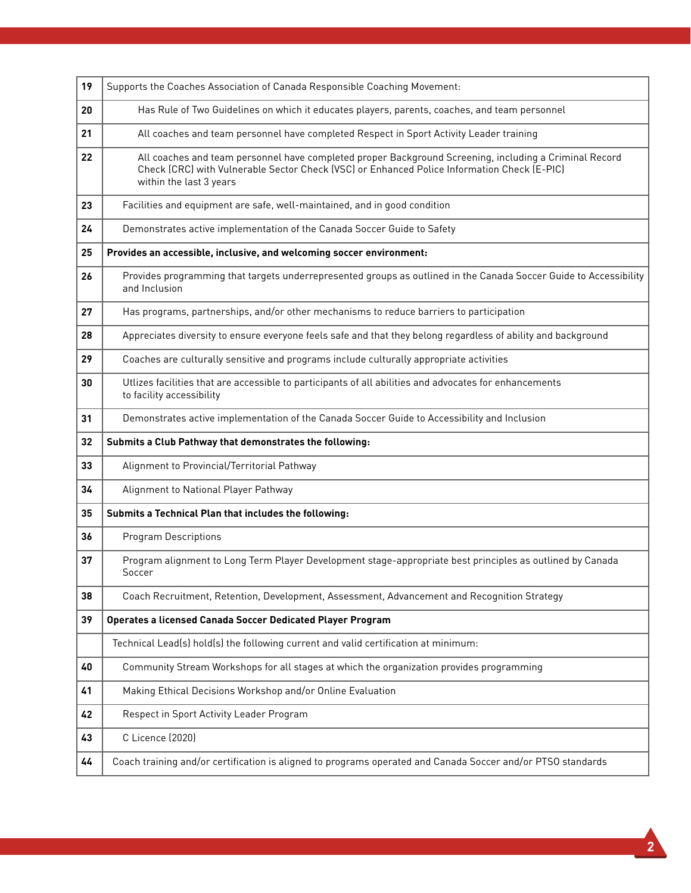| 19 | Supports the Coaches Association of Canada Responsible Coaching Movement:                                                                                                                                                        |
|----|----------------------------------------------------------------------------------------------------------------------------------------------------------------------------------------------------------------------------------|
| 20 | Has Rule of Two Guidelines on which it educates players, parents, coaches, and team personnel                                                                                                                                    |
| 21 | All coaches and team personnel have completed Respect in Sport Activity Leader training                                                                                                                                          |
| 22 | All coaches and team personnel have completed proper Background Screening, including a Criminal Record<br>Check (CRC) with Vulnerable Sector Check (VSC) or Enhanced Police Information Check (E-PIC)<br>within the last 3 years |
| 23 | Facilities and equipment are safe, well-maintained, and in good condition                                                                                                                                                        |
| 24 | Demonstrates active implementation of the Canada Soccer Guide to Safety                                                                                                                                                          |
| 25 | Provides an accessible, inclusive, and welcoming soccer environment:                                                                                                                                                             |
| 26 | Provides programming that targets underrepresented groups as outlined in the Canada Soccer Guide to Accessibility<br>and Inclusion                                                                                               |
| 27 | Has programs, partnerships, and/or other mechanisms to reduce barriers to participation                                                                                                                                          |
| 28 | Appreciates diversity to ensure everyone feels safe and that they belong regardless of ability and background                                                                                                                    |
| 29 | Coaches are culturally sensitive and programs include culturally appropriate activities                                                                                                                                          |
| 30 | Utlizes facilities that are accessible to participants of all abilities and advocates for enhancements<br>to facility accessibility                                                                                              |
| 31 | Demonstrates active implementation of the Canada Soccer Guide to Accessibility and Inclusion                                                                                                                                     |
| 32 | Submits a Club Pathway that demonstrates the following:                                                                                                                                                                          |
| 33 | Alignment to Provincial/Territorial Pathway                                                                                                                                                                                      |
| 34 | Alignment to National Player Pathway                                                                                                                                                                                             |
| 35 | Submits a Technical Plan that includes the following:                                                                                                                                                                            |
| 36 | <b>Program Descriptions</b>                                                                                                                                                                                                      |
| 37 | Program alignment to Long Term Player Development stage-appropriate best principles as outlined by Canada<br>Soccer                                                                                                              |
| 38 | Coach Recruitment, Retention, Development, Assessment, Advancement and Recognition Strategy                                                                                                                                      |
| 39 | Operates a licensed Canada Soccer Dedicated Player Program                                                                                                                                                                       |
|    | Technical Lead(s) hold(s) the following current and valid certification at minimum:                                                                                                                                              |
| 40 | Community Stream Workshops for all stages at which the organization provides programming                                                                                                                                         |
| 41 | Making Ethical Decisions Workshop and/or Online Evaluation                                                                                                                                                                       |
| 42 | Respect in Sport Activity Leader Program                                                                                                                                                                                         |
| 43 | C Licence (2020)                                                                                                                                                                                                                 |
| 44 | Coach training and/or certification is aligned to programs operated and Canada Soccer and/or PTSO standards                                                                                                                      |